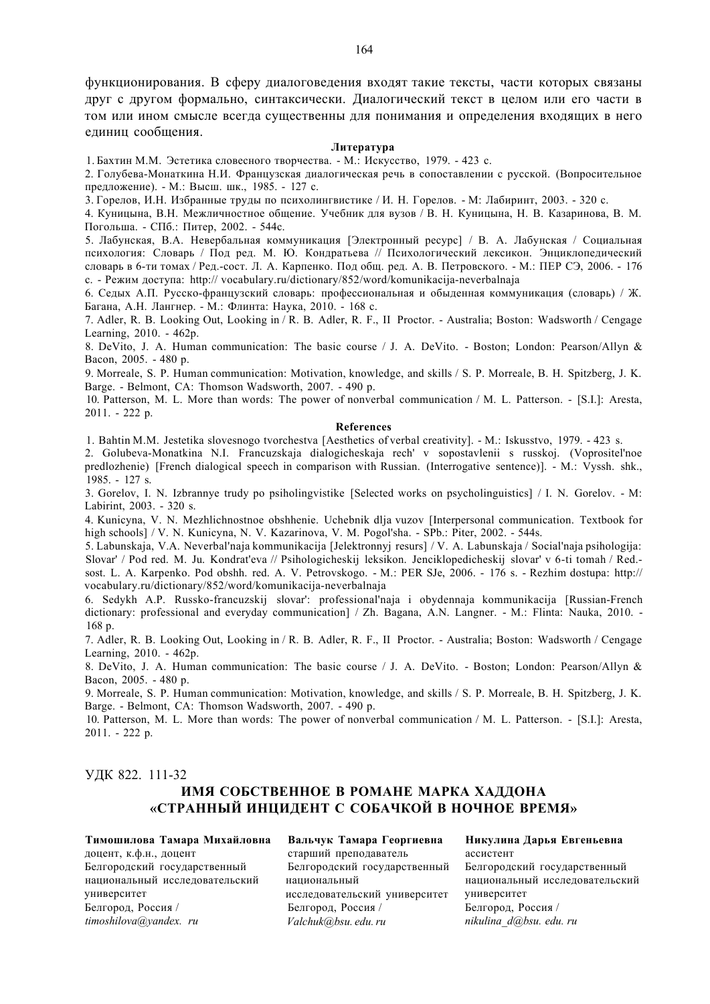функционирования. В сферу диалоговедения входят такие тексты, части которых связаны друг с другом формально, синтаксически. Диалогический текст в целом или его части в том или ином смысле всегда существенны для понимания и определения входящих в него единиц сообщения.

### **Литература**

1. Бахтин М.М. Эстетика словесного творчества. - М.: Искусство, 1979. - 423 с.

2. Голубева-Монаткина Н.И. Французская диалогическая речь в сопоставлении с русской. (Вопросительное предложение). - М.: Высш. шк., 1985. - 127 с.

3. Горелов, И.Н. Избранные труды по психолингвистике / И. Н. Горелов. - М: Лабиринт, 2003. - 320 с.

4. Куницына, В.Н. Межличностное общение. Учебник для вузов / В. Н. Куницына, Н. В. Казаринова, В. М. Погольша. - СПб.: Питер, 2002. - 544с.

5. Лабунская, В.А. Невербальная коммуникация [Электронный ресурс] / В. А. Лабунская / Социальная психология: Словарь / Под ред. М. Ю. Кондратьева // Психологический лексикон. Энциклопедический словарь в 6-ти томах / Ред.-сост. Л. А. Карпенко. Под общ. ред. А. В. Петровского. - М.: ПЕР СЭ, 2006. - 176 с. - Режим доступа: http:// vocabulary.ru/dictionary/852/word/komunikacija-neverbalnaja

6. Седых А.П. Русско-французский словарь: профессиональная и обыденная коммуникация (словарь) / Ж. Багана, А.Н. Лангнер. - М.: Флинта: Наука, 2010. - 168 с.

7. Adler, R. B. Looking Out, Looking in / R. B. Adler, R. F., II Proctor. - Australia; Boston: Wadsworth / Cengage Learning, 2010. - 462p.

8. DeVito, J. A. Human communication: The basic course / J. A. DeVito. - Boston; London: Pearson/Allyn & Bacon, 2005. - 480 p.

9. Morreale, S. P. Human communication: Motivation, knowledge, and skills / S. P. Morreale, B. H. Spitzberg, J. K. Barge. - Belmont, CA: Thomson Wadsworth, 2007. - 490 p.

10. Patterson, M. L. More than words: The power of nonverbal communication / M. L. Patterson. - [S.I.]: Aresta, 2011. - 222 p.

## **References**

1. Bahtin M.M. Jestetika slovesnogo tvorchestva [Aesthetics of verbal creativity]. - M.: Iskusstvo, 1979. - 423 s.

2. Golubeva-Monatkina N.I. Francuzskaja dialogicheskaja rech' v sopostavlenii s russkoj. (Voprositel'noe predlozhenie) [French dialogical speech in comparison with Russian. (Interrogative sentence)]. - M.: Vyssh. shk., 1985. - 127 s.

3. Gorelov, I. N. Izbrannye trudy po psiholingvistike [Selected works on psycholinguistics] / I. N. Gorelov. - M: Labirint, 2003. - 320 s.

4. Kunicyna, V. N. Mezhlichnostnoe obshhenie. Uchebnik dlja vuzov [Interpersonal communication. Textbook for high schools] / V. N. Kunicyna, N. V. Kazarinova, V. M. Pogol'sha. - SPb.: Piter, 2002. - 544s.

5. Labunskaja, V.A. Neverbal'naja kommunikacija [Jelektronnyj resurs] / V. A. Labunskaja / Social'naja psihologija: Slovar' / Pod red. M. Ju. Kondrat'eva // Psihologicheskij leksikon. Jenciklopedicheskij slovar' v 6-ti tomah / Red. sost. L. A. Karpenko. Pod obshh. red. A. V. Petrovskogo. - M.: PER SJe, 2006. - 176 s. - Rezhim dostupa: http:// vocabulary.ru/dictionary/852/word/komunikacija-neverbalnaja

6. Sedykh A.P. Russko-francuzskij slovar': professional'naja i obydennaja kommunikacija [Russian-French dictionary: professional and everyday communication] / Zh. Bagana, A.N. Langner. - M.: Flinta: Nauka, 2010. -168 p.

7. Adler, R. B. Looking Out, Looking in / R. B. Adler, R. F., II Proctor. - Australia; Boston: Wadsworth / Cengage Learning, 2010. - 462p.

8. DeVito, J. A. Human communication: The basic course / J. A. DeVito. - Boston; London: Pearson/Allyn & Bacon, 2005. - 480 p.

9. Morreale, S. P. Human communication: Motivation, knowledge, and skills / S. P. Morreale, B. H. Spitzberg, J. K. Barge. - Belmont, CA: Thomson Wadsworth, 2007. - 490 p.

10. Patterson, M. L. More than words: The power of nonverbal communication / M. L. Patterson. - [S.I.]: Aresta, 2011. - 222 p.

## УДК 822. 111-32

# **ИМЯ СОБСТВЕННОЕ В РОМАНЕ МАРКА ХАДДОНА «СТРАННЫЙ ИНЦИДЕНТ С СОБАЧКОЙ В НОЧНОЕ ВРЕМЯ»**

**Тимошилова Тамара Михайловна**  доцент, к.ф.н., доцент Белгородский государственный национальный исследовательский университет Белгород, Россия / *[timoshilova@yandex. ru](mailto:timoshilova@yandex.ru)* 

**Вальчук Тамара Георгиевна**  старший преподаватель Белгородский государственный национальный исследовательский университет Белгород, Россия / *[Valchuk@bsu. edu. ru](mailto:Valchuk@bsu.edu.ru)* 

**Никулина Дарья Евгеньевна**  ассистент Белгородский государственный национальный исследовательский университет Белгород, Россия / *[nikulina\\_d@bsu. edu. ru](mailto:nikulina_d@bsu.edu.ru)*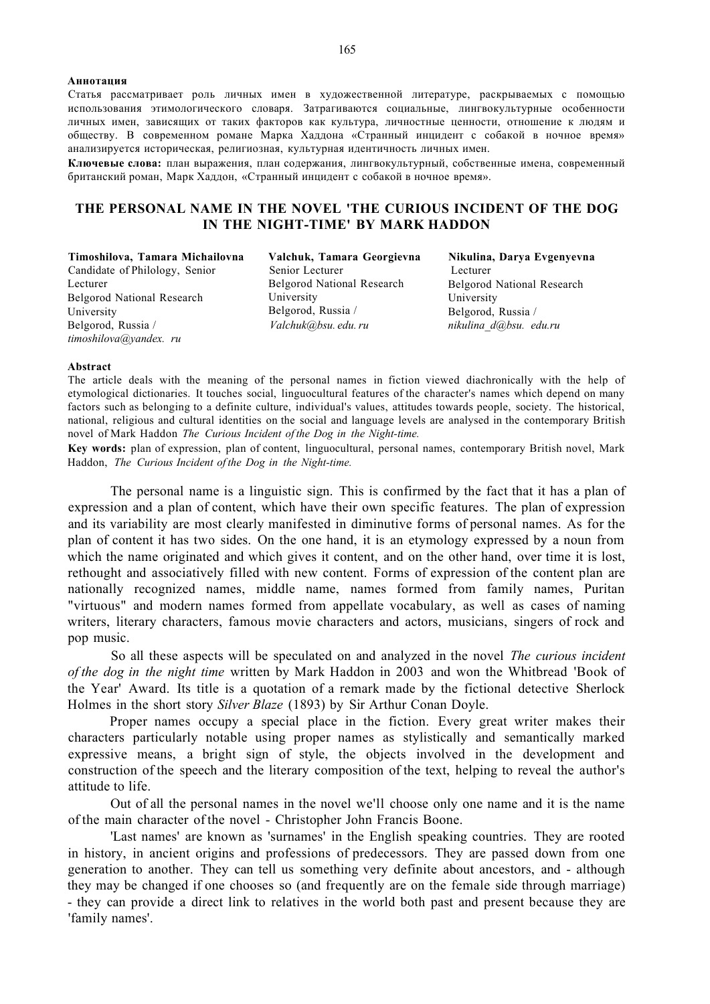**Аннотация**  Статья рассматривает роль личных имен в художественной литературе, раскрываемых с помощью использования этимологического словаря. Затрагиваются социальные, лингвокультурные особенности личных имен, зависящих от таких факторов как культура, личностные ценности, отношение к людям и обществу. В современном романе Марка Хаддона «Странный инцидент с собакой в ночное время» анализируется историческая, религиозная, культурная идентичность личных имен.

**Ключевые слова:** план выражения, план содержания, лингвокультурный, собственные имена, современный британский роман, Марк Хаддон, «Странный инцидент с собакой в ночное время».

# **THE PERSONAL NAME IN THE NOVEL 'THE CURIOUS INCIDENT OF THE DOG IN THE NIGHT-TIME' BY MARK HADDON**

**Timoshilova, Tamara Michailovna**  Сandidate of Philology, Senior Lecturer Belgorod National Research University Belgorod, Russia / *[timoshilova@yandex. ru](mailto:timoshilova@yandex.ru)* 

**Valchuk, Tamara Georgievna**  Senior Lecturer Belgorod National Research University Belgorod, Russia / *[Valchuk@bsu. edu. ru](mailto:Valchuk@bsu.edu.ru)* 

**Nikulina, Darya Evgenyevna**  Lecturer Belgorod National Research University Belgorod, Russia / *[nikulina\\_d@bsu. edu.ru](mailto:nikulina_d@bsu.edu.ru)* 

#### **Abstract**

The article deals with the meaning of the personal names in fiction viewed diachronically with the help of etymological dictionaries. It touches social, linguocultural features of the character's names which depend on many factors such as belonging to a definite culture, individual's values, attitudes towards people, society. The historical, national, religious and cultural identities on the social and language levels are analysed in the contemporary British novel of Mark Haddon *The Curious Incident of the Dog in the Night-time.* 

**Key words:** plan of expression, plan of content, linguocultural, personal names, contemporary British novel, Mark Haddon, *The Curious Incident of the Dog in the Night-time.* 

The personal name is a linguistic sign. This is confirmed by the fact that it has a plan of expression and a plan of content, which have their own specific features. The plan of expression and its variability are most clearly manifested in diminutive forms of personal names. As for the plan of content it has two sides. On the one hand, it is an etymology expressed by a noun from which the name originated and which gives it content, and on the other hand, over time it is lost, rethought and associatively filled with new content. Forms of expression of the content plan are nationally recognized names, middle name, names formed from family names, Puritan "virtuous" and modern names formed from appellate vocabulary, as well as cases of naming writers, literary characters, famous movie characters and actors, musicians, singers of rock and pop music.

So all these aspects will be speculated on and analyzed in the novel *The curious incident of the dog in the night time* written by Mark Haddon in 2003 and won the Whitbread 'Book of the Year' Award. Its title is a quotation of a remark made by the fictional detective Sherlock Holmes in the short story *Silver Blaze* (1893) by Sir Arthur Conan Doyle.

Proper names occupy a special place in the fiction. Every great writer makes their characters particularly notable using proper names as stylistically and semantically marked expressive means, a bright sign of style, the objects involved in the development and construction of the speech and the literary composition of the text, helping to reveal the author's attitude to life.

Out of all the personal names in the novel we'll choose only one name and it is the name of the main character of the novel - Christopher John Francis Boone.

'Last names' are known as 'surnames' in the English speaking countries. They are rooted in history, in ancient origins and professions of predecessors. They are passed down from one generation to another. They can tell us something very definite about ancestors, and - although they may be changed if one chooses so (and frequently are on the female side through marriage) - they can provide a direct link to relatives in the world both past and present because they are 'family names'.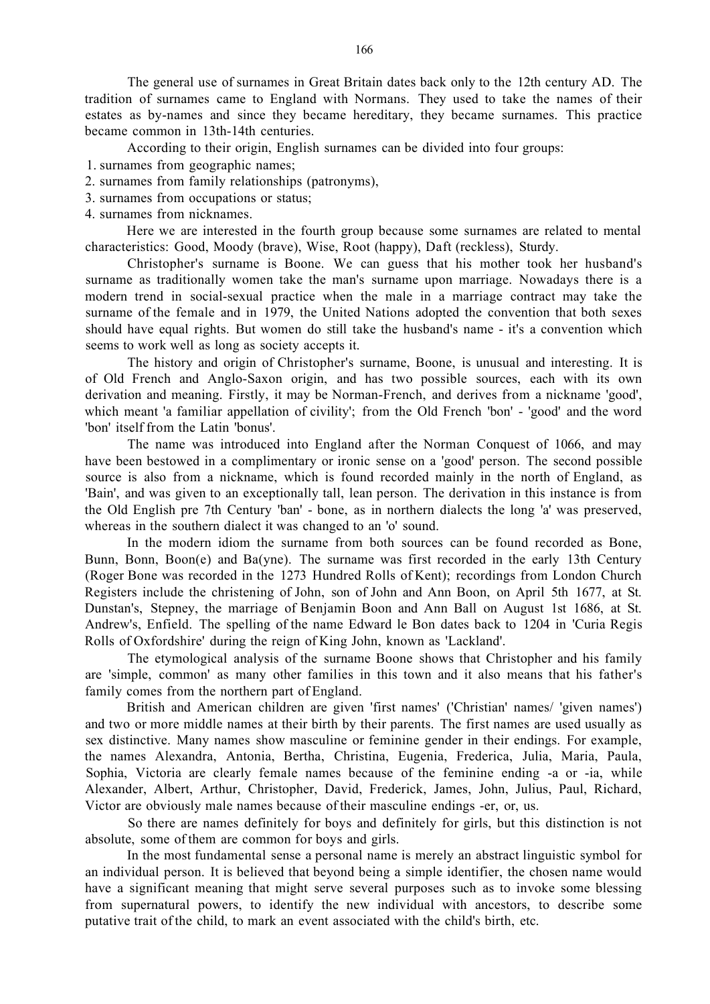The general use of surnames in Great Britain dates back only to the 12th century AD. The tradition of surnames came to England with Normans. They used to take the names of their estates as by-names and since they became hereditary, they became surnames. This practice became common in 13th-14th centuries.

According to their origin, English surnames can be divided into four groups:

1. surnames from geographic names;

- 2. surnames from family relationships (patronyms),
- 3. surnames from occupations or status;
- 4. surnames from nicknames.

Here we are interested in the fourth group because some surnames are related to mental characteristics: Good, Moody (brave), Wise, Root (happy), Daft (reckless), Sturdy.

Christopher's surname is Boone. We can guess that his mother took her husband's surname as traditionally women take the man's surname upon marriage. Nowadays there is a modern trend in social-sexual practice when the male in a marriage contract may take the surname of the female and in 1979, the United Nations adopted the convention that both sexes should have equal rights. But women do still take the husband's name - it's a convention which seems to work well as long as society accepts it.

The history and origin of Christopher's surname, Boone, is unusual and interesting. It is of Old French and Anglo-Saxon origin, and has two possible sources, each with its own derivation and meaning. Firstly, it may be Norman-French, and derives from a nickname 'good', which meant 'a familiar appellation of civility'; from the Old French 'bon' - 'good' and the word 'bon' itself from the Latin 'bonus'.

The name was introduced into England after the Norman Conquest of 1066, and may have been bestowed in a complimentary or ironic sense on a 'good' person. The second possible source is also from a nickname, which is found recorded mainly in the north of England, as 'Bain', and was given to an exceptionally tall, lean person. The derivation in this instance is from the Old English pre 7th Century 'ban' - bone, as in northern dialects the long 'a' was preserved, whereas in the southern dialect it was changed to an 'o' sound.

In the modern idiom the surname from both sources can be found recorded as Bone, Bunn, Bonn, Boon(e) and Ba(yne). The surname was first recorded in the early 13th Century (Roger Bone was recorded in the 1273 Hundred Rolls of Kent); recordings from London Church Registers include the christening of John, son of John and Ann Boon, on April 5th 1677, at St. Dunstan's, Stepney, the marriage of Benjamin Boon and Ann Ball on August 1st 1686, at St. Andrew's, Enfield. The spelling of the name Edward le Bon dates back to 1204 in 'Curia Regis Rolls of Oxfordshire' during the reign of King John, known as 'Lackland'.

The etymological analysis of the surname Boone shows that Christopher and his family are 'simple, common' as many other families in this town and it also means that his father's family comes from the northern part of England.

British and American children are given 'first names' ('Christian' names/ 'given names') and two or more middle names at their birth by their parents. The first names are used usually as sex distinctive. Many names show masculine or feminine gender in their endings. For example, the names Alexandra, Antonia, Bertha, Christina, Eugenia, Frederica, Julia, Maria, Paula, Sophia, Victoria are clearly female names because of the feminine ending -a or -ia, while Alexander, Albert, Arthur, Christopher, David, Frederick, James, John, Julius, Paul, Richard, Victor are obviously male names because of their masculine endings -er, or, us.

So there are names definitely for boys and definitely for girls, but this distinction is not absolute, some of them are common for boys and girls.

In the most fundamental sense a personal name is merely an abstract linguistic symbol for an individual person. It is believed that beyond being a simple identifier, the chosen name would have a significant meaning that might serve several purposes such as to invoke some blessing from supernatural powers, to identify the new individual with ancestors, to describe some putative trait of the child, to mark an event associated with the child's birth, etc.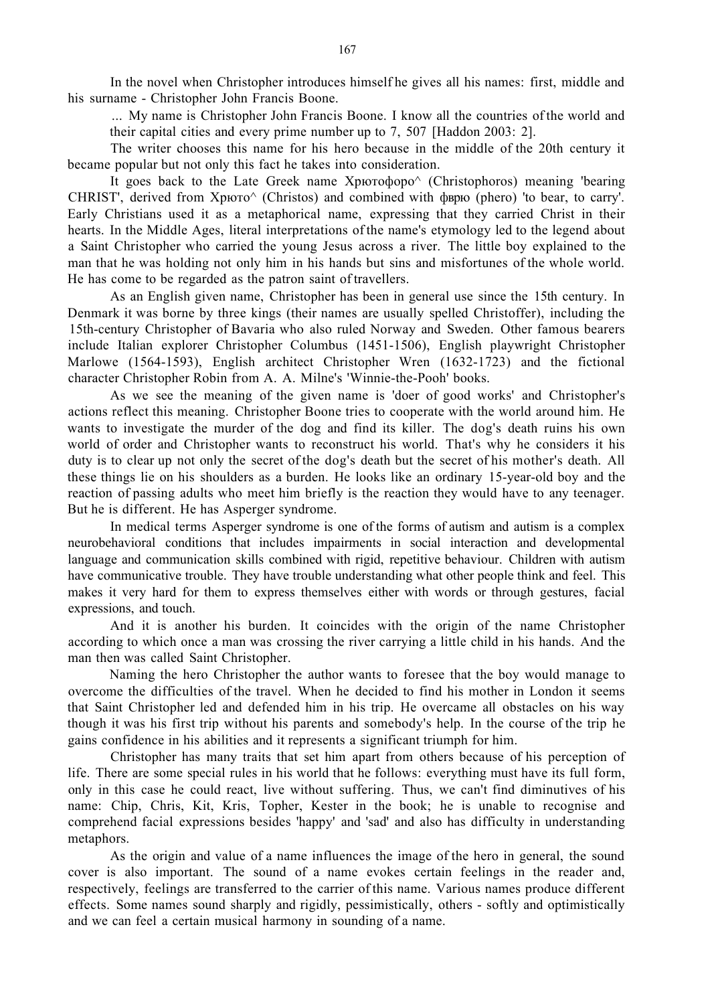In the novel when Christopher introduces himself he gives all his names: first, middle and his surname - Christopher John Francis Boone.

... My name is Christopher John Francis Boone. I know all the countries of the world and their capital cities and every prime number up to 7, 507 [Haddon 2003: 2].

The writer chooses this name for his hero because in the middle of the 20th century it became popular but not only this fact he takes into consideration.

It goes back to the Late Greek name  $X$ pютофоро $\wedge$  (Christophoros) meaning 'bearing CHRIST', derived from Хрюто^ (Christos) and combined with фврю (phero) 'to bear, to carry'. Early Christians used it as a metaphorical name, expressing that they carried Christ in their hearts. In the Middle Ages, literal interpretations of the name's etymology led to the legend about a Saint Christopher who carried the young Jesus across a river. The little boy explained to the man that he was holding not only him in his hands but sins and misfortunes of the whole world. He has come to be regarded as the patron saint of travellers.

As an English given name, Christopher has been in general use since the 15th century. In Denmark it was borne by three kings (their names are usually spelled Christoffer), including the 15th-century Christopher of Bavaria who also ruled Norway and Sweden. Other famous bearers include Italian explorer Christopher Columbus (1451-1506), English playwright Christopher Marlowe (1564-1593), English architect Christopher Wren (1632-1723) and the fictional character Christopher Robin from A. A. Milne's 'Winnie-the-Pooh' books.

As we see the meaning of the given name is 'doer of good works' and Christopher's actions reflect this meaning. Christopher Boone tries to cooperate with the world around him. He wants to investigate the murder of the dog and find its killer. The dog's death ruins his own world of order and Christopher wants to reconstruct his world. That's why he considers it his duty is to clear up not only the secret of the dog's death but the secret of his mother's death. All these things lie on his shoulders as a burden. He looks like an ordinary 15-year-old boy and the reaction of passing adults who meet him briefly is the reaction they would have to any teenager. But he is different. He has [Asperger syndrome.](http://schools-wikipedia.org/wp/a/Asperger_syndrome.htm)

In medical terms Asperger syndrome is one of the forms of autism and autism is a complex neurobehavioral conditions that includes impairments in social interaction and developmental language and communication skills combined with rigid, repetitive behaviour. Children with autism have communicative trouble. They have trouble understanding what other people think and feel. This makes it very hard for them to express themselves either with words or through gestures, facial expressions, and touch.

And it is another his burden. It coincides with the origin of the name Christopher according to which once a man was crossing the river carrying a little child in his hands. And the man then was called Saint Christopher.

Naming the hero Christopher the author wants to foresee that the boy would manage to overcome the difficulties of the travel. When he decided to find his mother in London it seems that Saint Christopher led and defended him in his trip. He overcame all obstacles on his way though it was his first trip without his parents and somebody's help. In the course of the trip he gains confidence in his abilities and it represents a significant triumph for him.

Christopher has many traits that set him apart from others because of his perception of life. There are some special rules in his world that he follows: everything must have its full form, only in this case he could react, live without suffering. Thus, we can't find diminutives of his name: Chip, Chris, Kit, Kris, Topher, Kester in the book; he is unable to recognise and comprehend facial expressions besides 'happy' and 'sad' and also has difficulty in understanding metaphors.

As the origin and value of a name influences the image of the hero in general, the sound cover is also important. The sound of a name evokes certain feelings in the reader and, respectively, feelings are transferred to the carrier of this name. Various names produce different effects. Some names sound sharply and rigidly, pessimistically, others - softly and optimistically and we can feel a certain musical harmony in sounding of a name.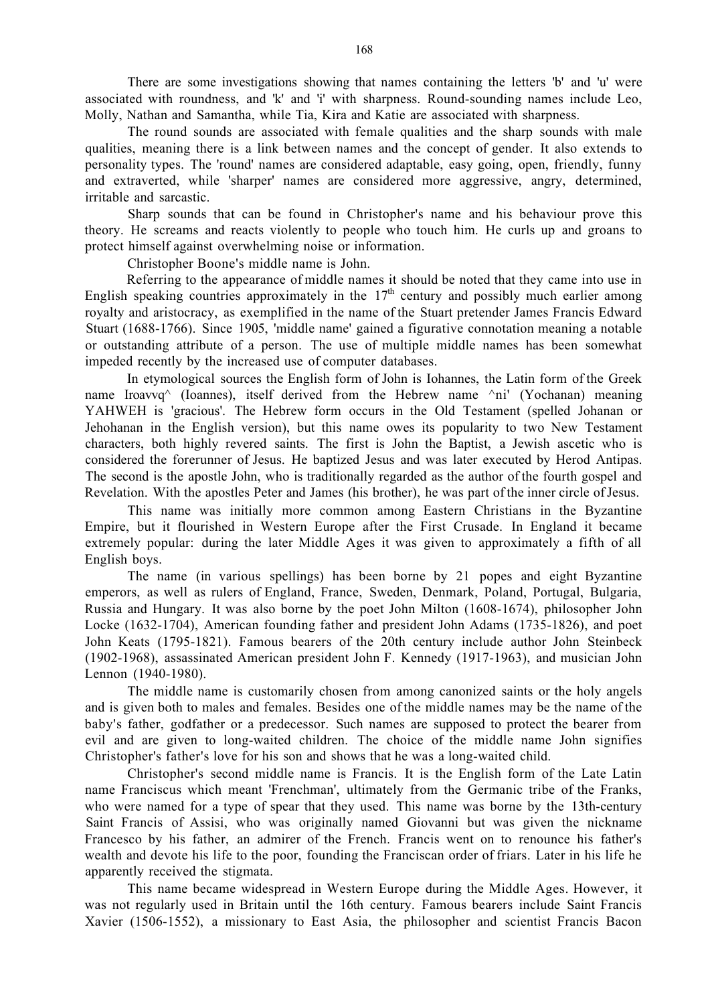There are some investigations showing that names containing the letters 'b' and 'u' were associated with roundness, and 'k' and 'i' with sharpness. Round-sounding names include Leo, Molly, Nathan and Samantha, while Tia, Kira and Katie are associated with sharpness.

The round sounds are associated with female qualities and the sharp sounds with male qualities, meaning there is a link between names and the concept of gender. It also extends to personality types. The 'round' names are considered adaptable, easy going, open, friendly, funny and extraverted, while 'sharper' names are considered more aggressive, angry, determined, irritable and sarcastic.

Sharp sounds that can be found in Christopher's name and his behaviour prove this theory. He screams and reacts violently to people who touch him. He curls up and groans to protect himself against overwhelming noise or information.

Christopher Boone's middle name is John.

Referring to the appearance of middle names it should be noted that they came into use in English speaking countries approximately in the  $17<sup>th</sup>$  century and possibly much earlier among royalty and aristocracy, as exemplified in the name of the Stuart pretender James Francis Edward Stuart (1688-1766). Since 1905, 'middle name' gained a figurative connotation meaning a notable or outstanding attribute of a person. The use of multiple middle names has been somewhat impeded recently by the increased use of compute[r databases.](http://en.academic.ru/dic.nsf/enwiki/4849)

In etymological sources the English form of John is Iohannes, the Latin form of the Greek name Iroavvq<sup> $\land$ </sup> (Ioannes), itself derived from the Hebrew name  $\land$ ni' (Yochanan) meaning YAHWEH is 'gracious'. The Hebrew form occurs in the Old Testament (spelled Johanan or Jehohanan in the English version), but this name owes its popularity to two New Testament characters, both highly revered saints. The first is John the Baptist, a Jewish ascetic who is considered the forerunner of Jesus. He baptized Jesus and was later executed by Herod Antipas. The second is the apostle John, who is traditionally regarded as the author of the fourth gospel and Revelation. With the apostles Peter and James (his brother), he was part of the inner circle of Jesus.

This name was initially more common among Eastern Christians in the Byzantine Empire, but it flourished in Western Europe after the First Crusade. In England it became extremely popular: during the later Middle Ages it was given to approximately a fifth of all English boys.

The name (in various spellings) has been borne by 21 popes and eight Byzantine emperors, as well as rulers of England, France, Sweden, Denmark, Poland, Portugal, Bulgaria, Russia and Hungary. It was also borne by the poet John Milton (1608-1674), philosopher John Locke (1632-1704), American founding father and president John Adams (1735-1826), and poet John Keats (1795-1821). Famous bearers of the 20th century include author John Steinbeck (1902-1968), assassinated American president John F. Kennedy (1917-1963), and musician John Lennon (1940-1980).

The middle name is customarily chosen from among canonized saints or the holy angels and is given both to males and females. Besides one of the middle names may be the name of the baby's father, godfather or a predecessor. Such names are supposed to protect the bearer from evil and are given to long-waited children. The choice of the middle name John signifies Christopher's father's love for his son and shows that he was a long-waited child.

Christopher's second middle name is Francis. It is the English form of the Late Latin name Franciscus which meant 'Frenchman', ultimately from the Germanic tribe of the Franks, who were named for a type of spear that they used. This name was borne by the 13th-century Saint Francis of Assisi, who was originally named Giovanni but was given the nickname Francesco by his father, an admirer of the French. Francis went on to renounce his father's wealth and devote his life to the poor, founding the Franciscan order of friars. Later in his life he apparently received the stigmata.

This name became widespread in Western Europe during the Middle Ages. However, it was not regularly used in Britain until the 16th century. Famous bearers include Saint Francis Xavier (1506-1552), a missionary to East Asia, the philosopher and scientist Francis Bacon